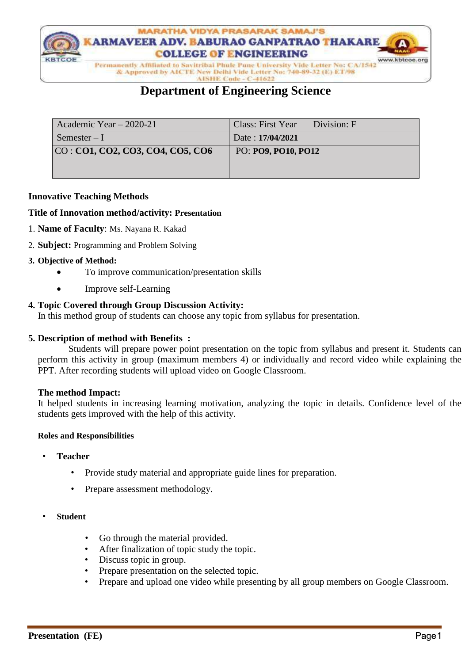

& Approved by AICTE New Delhi Vide Letter No: 740-89-32 (E) ET/98

#### AISHE Code - C-41622

# **Department of Engineering Science**

| Academic Year $-2020-21$         | Class: First Year Division: F |
|----------------------------------|-------------------------------|
| Semester $-I$                    | Date: 17/04/2021              |
| CO: CO1, CO2, CO3, CO4, CO5, CO6 | PO: PO9, PO10, PO12           |
|                                  |                               |
|                                  |                               |

## **Innovative Teaching Methods**

#### **Title of Innovation method/activity: Presentation**

- 1. **Name of Faculty**: Ms. Nayana R. Kakad
- 2. **Subject:** Programming and Problem Solving

## **3. Objective of Method:**

- To improve communication/presentation skills
- Improve self-Learning

# **4. Topic Covered through Group Discussion Activity:**

In this method group of students can choose any topic from syllabus for presentation.

#### **5. Description of method with Benefits :**

 Students will prepare power point presentation on the topic from syllabus and present it. Students can perform this activity in group (maximum members 4) or individually and record video while explaining the PPT. After recording students will upload video on Google Classroom.

#### **The method Impact:**

It helped students in increasing learning motivation, analyzing the topic in details. Confidence level of the students gets improved with the help of this activity.

#### **Roles and Responsibilities**

- **Teacher**
	- Provide study material and appropriate guide lines for preparation.
	- Prepare assessment methodology.
- **Student**
	- Go through the material provided.
	- After finalization of topic study the topic.
	- Discuss topic in group.
	- Prepare presentation on the selected topic.
	- Prepare and upload one video while presenting by all group members on Google Classroom.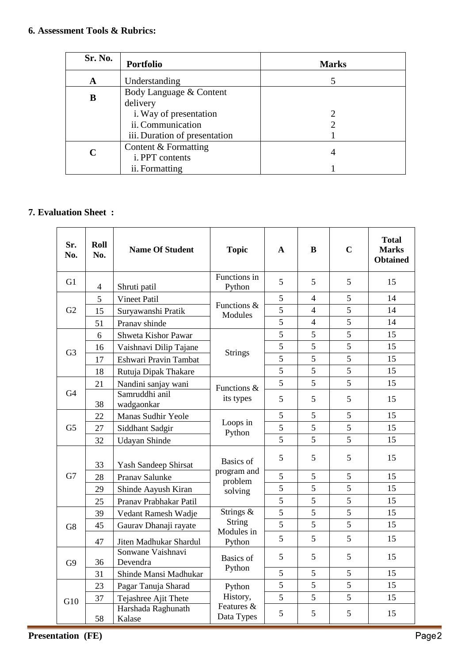| Sr. No. | <b>Portfolio</b>              | <b>Marks</b> |  |
|---------|-------------------------------|--------------|--|
| A       | Understanding                 |              |  |
| B       | Body Language & Content       |              |  |
|         | delivery                      |              |  |
|         | i. Way of presentation        |              |  |
|         | ii. Communication             |              |  |
|         | iii. Duration of presentation |              |  |
| C       | Content & Formatting          |              |  |
|         | i. PPT contents               | 4            |  |
|         | ii. Formatting                |              |  |

# **7. Evaluation Sheet :**

| Sr.<br>No.     | Roll<br>No.    | <b>Name Of Student</b>        | <b>Topic</b>                                   | $\mathbf{A}$ | B                        | $\mathbf C$ | <b>Total</b><br><b>Marks</b><br><b>Obtained</b> |
|----------------|----------------|-------------------------------|------------------------------------------------|--------------|--------------------------|-------------|-------------------------------------------------|
| G <sub>1</sub> | $\overline{4}$ | Shruti patil                  | Functions in<br>Python                         | 5            | 5                        | 5           | 15                                              |
| G2             | 5              | <b>Vineet Patil</b>           | Functions &<br>Modules                         | 5            | 4                        | 5           | 14                                              |
|                | 15             | Suryawanshi Pratik            |                                                | 5            | $\overline{4}$           | 5           | 14                                              |
|                | 51             | Pranav shinde                 |                                                | 5            | $\overline{\mathcal{A}}$ | 5           | 14                                              |
|                | 6              | Shweta Kishor Pawar           |                                                | 5            | 5                        | 5           | 15                                              |
| G <sub>3</sub> | 16             | Vaishnavi Dilip Tajane        | <b>Strings</b>                                 | 5            | 5                        | 5           | 15                                              |
|                | 17             | Eshwari Pravin Tambat         |                                                | 5            | 5                        | 5           | 15                                              |
|                | 18             | Rutuja Dipak Thakare          |                                                | 5            | 5                        | 5           | 15                                              |
|                | 21             | Nandini sanjay wani           | Functions &                                    | 5            | 5                        | 5           | 15                                              |
| G4             | 38             | Samruddhi anil<br>wadgaonkar  | its types                                      | 5            | 5                        | 5           | 15                                              |
| G <sub>5</sub> | 22             | Manas Sudhir Yeole            | Loops in<br>Python                             | 5            | 5                        | 5           | 15                                              |
|                | 27             | Siddhant Sadgir               |                                                | 5            | 5                        | 5           | 15                                              |
|                | 32             | Udayan Shinde                 |                                                | 5            | 5                        | 5           | 15                                              |
|                | 33             | Yash Sandeep Shirsat          | Basics of<br>program and<br>problem<br>solving | 5            | 5                        | 5           | 15                                              |
| G7             | 28             | Pranav Salunke                |                                                | 5            | 5                        | 5           | 15                                              |
|                | 29             | Shinde Aayush Kiran           |                                                | 5            | 5                        | 5           | 15                                              |
|                | 25             | Pranav Prabhakar Patil        |                                                | 5            | 5                        | 5           | 15                                              |
|                | 39             | Vedant Ramesh Wadje           | Strings &<br>String<br>Modules in<br>Python    | 5            | 5                        | 5           | 15                                              |
| G8             | 45             | Gaurav Dhanaji rayate         |                                                | 5            | 5                        | 5           | 15                                              |
|                | 47             | Jiten Madhukar Shardul        |                                                | 5            | 5                        | 5           | 15                                              |
| G <sub>9</sub> | 36             | Sonwane Vaishnavi<br>Devendra | <b>Basics</b> of<br>Python                     | 5            | 5                        | 5           | 15                                              |
|                | 31             | Shinde Mansi Madhukar         |                                                | 5            | 5                        | 5           | 15                                              |
| G10            | 23             | Pagar Tanuja Sharad           | Python<br>History,<br>Features &<br>Data Types | 5            | 5                        | 5           | 15                                              |
|                | 37             | Tejashree Ajit Thete          |                                                | 5            | 5                        | 5           | 15                                              |
|                | 58             | Harshada Raghunath<br>Kalase  |                                                | 5            | 5                        | 5           | 15                                              |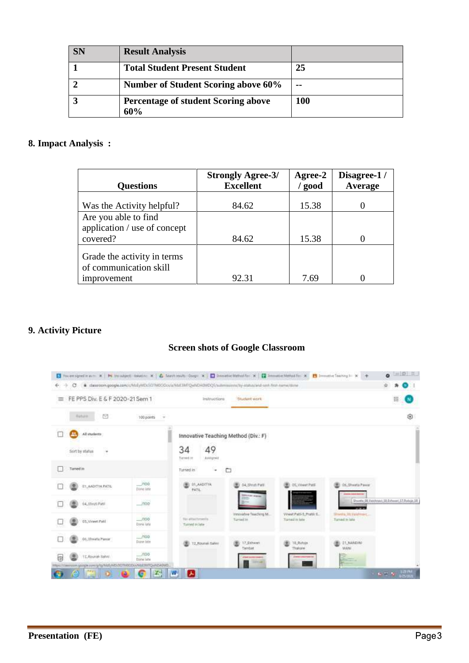| <b>SN</b> | <b>Result Analysis</b>                            |       |
|-----------|---------------------------------------------------|-------|
|           | <b>Total Student Present Student</b>              | 25    |
|           | <b>Number of Student Scoring above 60%</b>        | $- -$ |
|           | <b>Percentage of student Scoring above</b><br>60% | 100   |

## **8. Impact Analysis :**

| <b>Questions</b>                         | <b>Strongly Agree-3/</b><br><b>Excellent</b> | Agree-2<br>/ good | Disagree-1/<br>Average |
|------------------------------------------|----------------------------------------------|-------------------|------------------------|
| Was the Activity helpful?                | 84.62                                        | 15.38             |                        |
| Are you able to find                     |                                              |                   |                        |
| application / use of concept<br>covered? | 84.62                                        | 15.38             |                        |
| Grade the activity in terms              |                                              |                   |                        |
| of communication skill                   |                                              |                   |                        |
| improvement                              | 92.31                                        | 7.69              |                        |

# **9. Activity Picture**

#### **Screen shots of Google Classroom**